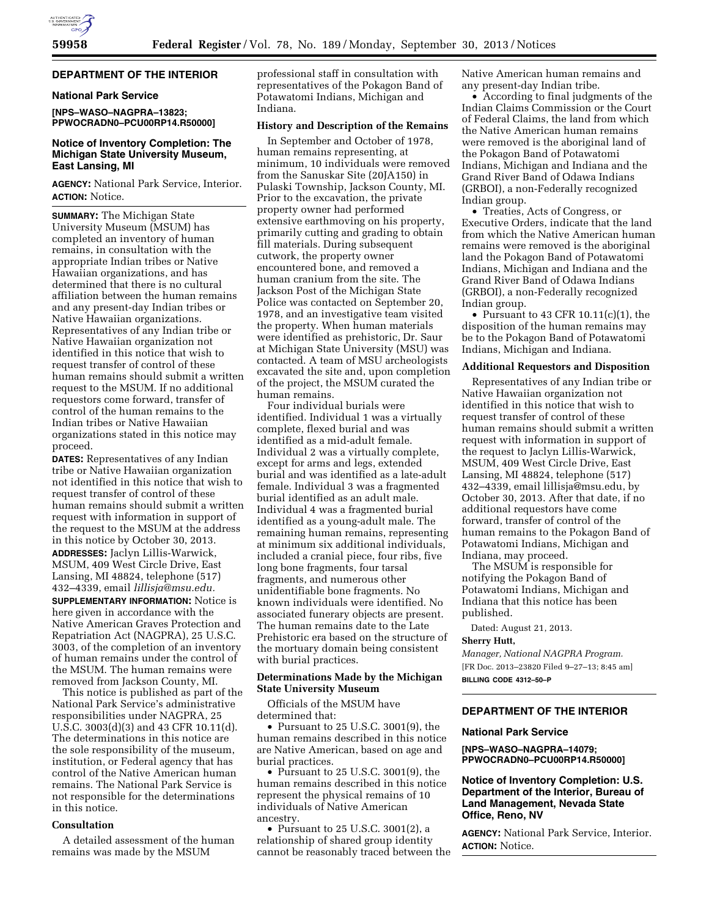#### **DEPARTMENT OF THE INTERIOR**

# **National Park Service**

**[NPS–WASO–NAGPRA–13823; PPWOCRADN0–PCU00RP14.R50000]** 

## **Notice of Inventory Completion: The Michigan State University Museum, East Lansing, MI**

**AGENCY:** National Park Service, Interior. **ACTION:** Notice.

**SUMMARY:** The Michigan State University Museum (MSUM) has completed an inventory of human remains, in consultation with the appropriate Indian tribes or Native Hawaiian organizations, and has determined that there is no cultural affiliation between the human remains and any present-day Indian tribes or Native Hawaiian organizations. Representatives of any Indian tribe or Native Hawaiian organization not identified in this notice that wish to request transfer of control of these human remains should submit a written request to the MSUM. If no additional requestors come forward, transfer of control of the human remains to the Indian tribes or Native Hawaiian organizations stated in this notice may proceed.

**DATES:** Representatives of any Indian tribe or Native Hawaiian organization not identified in this notice that wish to request transfer of control of these human remains should submit a written request with information in support of the request to the MSUM at the address in this notice by October 30, 2013. **ADDRESSES:** Jaclyn Lillis-Warwick, MSUM, 409 West Circle Drive, East Lansing, MI 48824, telephone (517) 432–4339, email *[lillisja@msu.edu.](mailto:lillisja@msu.edu)* 

**SUPPLEMENTARY INFORMATION:** Notice is here given in accordance with the Native American Graves Protection and Repatriation Act (NAGPRA), 25 U.S.C. 3003, of the completion of an inventory of human remains under the control of the MSUM. The human remains were removed from Jackson County, MI.

This notice is published as part of the National Park Service's administrative responsibilities under NAGPRA, 25 U.S.C. 3003(d)(3) and 43 CFR 10.11(d). The determinations in this notice are the sole responsibility of the museum, institution, or Federal agency that has control of the Native American human remains. The National Park Service is not responsible for the determinations in this notice.

### **Consultation**

A detailed assessment of the human remains was made by the MSUM

professional staff in consultation with representatives of the Pokagon Band of Potawatomi Indians, Michigan and Indiana.

# **History and Description of the Remains**

In September and October of 1978, human remains representing, at minimum, 10 individuals were removed from the Sanuskar Site (20JA150) in Pulaski Township, Jackson County, MI. Prior to the excavation, the private property owner had performed extensive earthmoving on his property, primarily cutting and grading to obtain fill materials. During subsequent cutwork, the property owner encountered bone, and removed a human cranium from the site. The Jackson Post of the Michigan State Police was contacted on September 20, 1978, and an investigative team visited the property. When human materials were identified as prehistoric, Dr. Saur at Michigan State University (MSU) was contacted. A team of MSU archeologists excavated the site and, upon completion of the project, the MSUM curated the human remains.

Four individual burials were identified. Individual 1 was a virtually complete, flexed burial and was identified as a mid-adult female. Individual 2 was a virtually complete, except for arms and legs, extended burial and was identified as a late-adult female. Individual 3 was a fragmented burial identified as an adult male. Individual 4 was a fragmented burial identified as a young-adult male. The remaining human remains, representing at minimum six additional individuals, included a cranial piece, four ribs, five long bone fragments, four tarsal fragments, and numerous other unidentifiable bone fragments. No known individuals were identified. No associated funerary objects are present. The human remains date to the Late Prehistoric era based on the structure of the mortuary domain being consistent with burial practices.

### **Determinations Made by the Michigan State University Museum**

Officials of the MSUM have determined that:

• Pursuant to 25 U.S.C. 3001(9), the human remains described in this notice are Native American, based on age and burial practices.

• Pursuant to 25 U.S.C. 3001(9), the human remains described in this notice represent the physical remains of 10 individuals of Native American ancestry.

• Pursuant to 25 U.S.C. 3001(2), a relationship of shared group identity cannot be reasonably traced between the Native American human remains and any present-day Indian tribe.

• According to final judgments of the Indian Claims Commission or the Court of Federal Claims, the land from which the Native American human remains were removed is the aboriginal land of the Pokagon Band of Potawatomi Indians, Michigan and Indiana and the Grand River Band of Odawa Indians (GRBOI), a non-Federally recognized Indian group.

• Treaties, Acts of Congress, or Executive Orders, indicate that the land from which the Native American human remains were removed is the aboriginal land the Pokagon Band of Potawatomi Indians, Michigan and Indiana and the Grand River Band of Odawa Indians (GRBOI), a non-Federally recognized Indian group.

• Pursuant to 43 CFR 10.11(c)(1), the disposition of the human remains may be to the Pokagon Band of Potawatomi Indians, Michigan and Indiana.

# **Additional Requestors and Disposition**

Representatives of any Indian tribe or Native Hawaiian organization not identified in this notice that wish to request transfer of control of these human remains should submit a written request with information in support of the request to Jaclyn Lillis-Warwick, MSUM, 409 West Circle Drive, East Lansing, MI 48824, telephone (517) 432–4339, email [lillisja@msu.edu,](mailto:lillisja@msu.edu) by October 30, 2013. After that date, if no additional requestors have come forward, transfer of control of the human remains to the Pokagon Band of Potawatomi Indians, Michigan and Indiana, may proceed.

The MSUM is responsible for notifying the Pokagon Band of Potawatomi Indians, Michigan and Indiana that this notice has been published.

Dated: August 21, 2013.

#### **Sherry Hutt,**

*Manager, National NAGPRA Program.*  [FR Doc. 2013–23820 Filed 9–27–13; 8:45 am] **BILLING CODE 4312–50–P** 

# **DEPARTMENT OF THE INTERIOR**

#### **National Park Service**

**[NPS–WASO–NAGPRA–14079; PPWOCRADN0–PCU00RP14.R50000]** 

# **Notice of Inventory Completion: U.S. Department of the Interior, Bureau of Land Management, Nevada State Office, Reno, NV**

**AGENCY:** National Park Service, Interior. **ACTION:** Notice.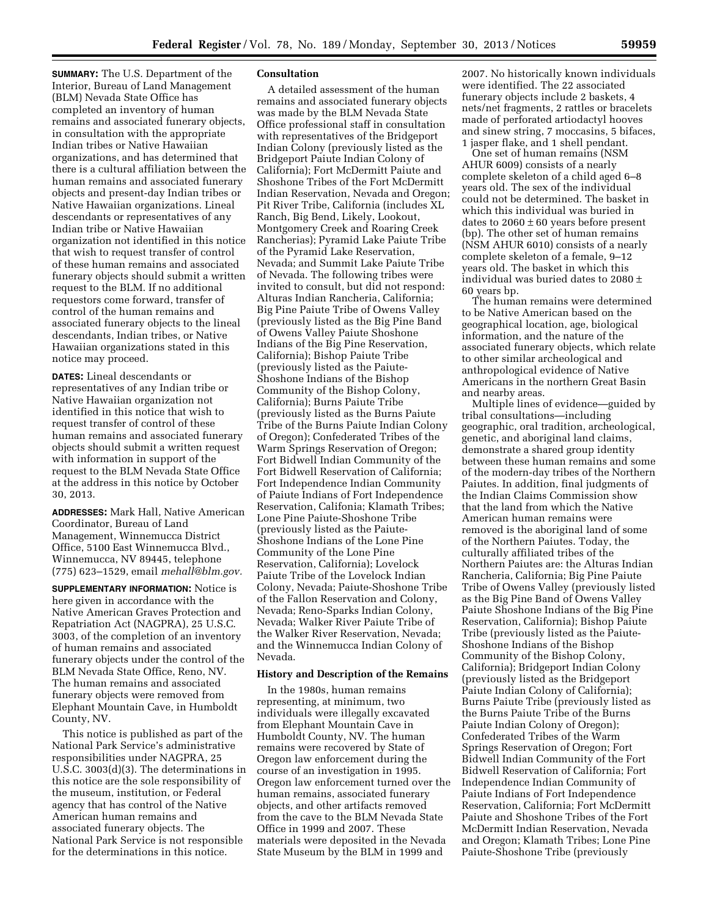**SUMMARY:** The U.S. Department of the Interior, Bureau of Land Management (BLM) Nevada State Office has completed an inventory of human remains and associated funerary objects, in consultation with the appropriate Indian tribes or Native Hawaiian organizations, and has determined that there is a cultural affiliation between the human remains and associated funerary objects and present-day Indian tribes or Native Hawaiian organizations. Lineal descendants or representatives of any Indian tribe or Native Hawaiian organization not identified in this notice that wish to request transfer of control of these human remains and associated funerary objects should submit a written request to the BLM. If no additional requestors come forward, transfer of control of the human remains and associated funerary objects to the lineal descendants, Indian tribes, or Native Hawaiian organizations stated in this notice may proceed.

**DATES:** Lineal descendants or representatives of any Indian tribe or Native Hawaiian organization not identified in this notice that wish to request transfer of control of these human remains and associated funerary objects should submit a written request with information in support of the request to the BLM Nevada State Office at the address in this notice by October 30, 2013.

**ADDRESSES:** Mark Hall, Native American Coordinator, Bureau of Land Management, Winnemucca District Office, 5100 East Winnemucca Blvd., Winnemucca, NV 89445, telephone (775) 623–1529, email *[mehall@blm.gov.](mailto:mehall@blm.gov)* 

**SUPPLEMENTARY INFORMATION:** Notice is here given in accordance with the Native American Graves Protection and Repatriation Act (NAGPRA), 25 U.S.C. 3003, of the completion of an inventory of human remains and associated funerary objects under the control of the BLM Nevada State Office, Reno, NV. The human remains and associated funerary objects were removed from Elephant Mountain Cave, in Humboldt County, NV.

This notice is published as part of the National Park Service's administrative responsibilities under NAGPRA, 25 U.S.C. 3003(d)(3). The determinations in this notice are the sole responsibility of the museum, institution, or Federal agency that has control of the Native American human remains and associated funerary objects. The National Park Service is not responsible for the determinations in this notice.

# **Consultation**

A detailed assessment of the human remains and associated funerary objects was made by the BLM Nevada State Office professional staff in consultation with representatives of the Bridgeport Indian Colony (previously listed as the Bridgeport Paiute Indian Colony of California); Fort McDermitt Paiute and Shoshone Tribes of the Fort McDermitt Indian Reservation, Nevada and Oregon; Pit River Tribe, California (includes XL Ranch, Big Bend, Likely, Lookout, Montgomery Creek and Roaring Creek Rancherias); Pyramid Lake Paiute Tribe of the Pyramid Lake Reservation, Nevada; and Summit Lake Paiute Tribe of Nevada. The following tribes were invited to consult, but did not respond: Alturas Indian Rancheria, California; Big Pine Paiute Tribe of Owens Valley (previously listed as the Big Pine Band of Owens Valley Paiute Shoshone Indians of the Big Pine Reservation, California); Bishop Paiute Tribe (previously listed as the Paiute-Shoshone Indians of the Bishop Community of the Bishop Colony, California); Burns Paiute Tribe (previously listed as the Burns Paiute Tribe of the Burns Paiute Indian Colony of Oregon); Confederated Tribes of the Warm Springs Reservation of Oregon; Fort Bidwell Indian Community of the Fort Bidwell Reservation of California; Fort Independence Indian Community of Paiute Indians of Fort Independence Reservation, Califonia; Klamath Tribes; Lone Pine Paiute-Shoshone Tribe (previously listed as the Paiute-Shoshone Indians of the Lone Pine Community of the Lone Pine Reservation, California); Lovelock Paiute Tribe of the Lovelock Indian Colony, Nevada; Paiute-Shoshone Tribe of the Fallon Reservation and Colony, Nevada; Reno-Sparks Indian Colony, Nevada; Walker River Paiute Tribe of the Walker River Reservation, Nevada; and the Winnemucca Indian Colony of Nevada.

#### **History and Description of the Remains**

In the 1980s, human remains representing, at minimum, two individuals were illegally excavated from Elephant Mountain Cave in Humboldt County, NV. The human remains were recovered by State of Oregon law enforcement during the course of an investigation in 1995. Oregon law enforcement turned over the human remains, associated funerary objects, and other artifacts removed from the cave to the BLM Nevada State Office in 1999 and 2007. These materials were deposited in the Nevada State Museum by the BLM in 1999 and

2007. No historically known individuals were identified. The 22 associated funerary objects include 2 baskets, 4 nets/net fragments, 2 rattles or bracelets made of perforated artiodactyl hooves and sinew string, 7 moccasins, 5 bifaces, 1 jasper flake, and 1 shell pendant.

One set of human remains (NSM AHUR 6009) consists of a nearly complete skeleton of a child aged 6–8 years old. The sex of the individual could not be determined. The basket in which this individual was buried in dates to  $2060 \pm 60$  years before present (bp). The other set of human remains (NSM AHUR 6010) consists of a nearly complete skeleton of a female, 9–12 years old. The basket in which this individual was buried dates to 2080 ± 60 years bp.

The human remains were determined to be Native American based on the geographical location, age, biological information, and the nature of the associated funerary objects, which relate to other similar archeological and anthropological evidence of Native Americans in the northern Great Basin and nearby areas.

Multiple lines of evidence—guided by tribal consultations—including geographic, oral tradition, archeological, genetic, and aboriginal land claims, demonstrate a shared group identity between these human remains and some of the modern-day tribes of the Northern Paiutes. In addition, final judgments of the Indian Claims Commission show that the land from which the Native American human remains were removed is the aboriginal land of some of the Northern Paiutes. Today, the culturally affiliated tribes of the Northern Paiutes are: the Alturas Indian Rancheria, California; Big Pine Paiute Tribe of Owens Valley (previously listed as the Big Pine Band of Owens Valley Paiute Shoshone Indians of the Big Pine Reservation, California); Bishop Paiute Tribe (previously listed as the Paiute-Shoshone Indians of the Bishop Community of the Bishop Colony, California); Bridgeport Indian Colony (previously listed as the Bridgeport Paiute Indian Colony of California); Burns Paiute Tribe (previously listed as the Burns Paiute Tribe of the Burns Paiute Indian Colony of Oregon); Confederated Tribes of the Warm Springs Reservation of Oregon; Fort Bidwell Indian Community of the Fort Bidwell Reservation of California; Fort Independence Indian Community of Paiute Indians of Fort Independence Reservation, California; Fort McDermitt Paiute and Shoshone Tribes of the Fort McDermitt Indian Reservation, Nevada and Oregon; Klamath Tribes; Lone Pine Paiute-Shoshone Tribe (previously